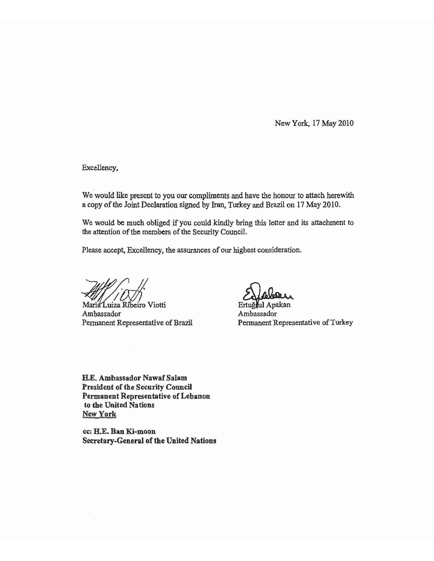New York, 17 May 2010

Excellency,

We would like present to you our compliments and have the honour to attach herewith a copy of the Joint Declaration signed by Iran, Turkey and Brazil on 17 May 2010.

We would be much obliged if you could kindly bring this letter and its attachment to the attention of the members of the Security Council.

Please accept, Excellency, the assurances of our highest consideration.

Maria Luiza Ribeiro Viotti Ambassador Pennanent Representative of Brazil

Ambassador Ertuğrul Apakan Permanent Representative of Turkey

H.E. Ambassador Nawaf Salam President of the Security Council Permanent Representative of Lebanon to the United Nations New York

cc: H.E. Ban Ki-moon Secretary-General of the United Nations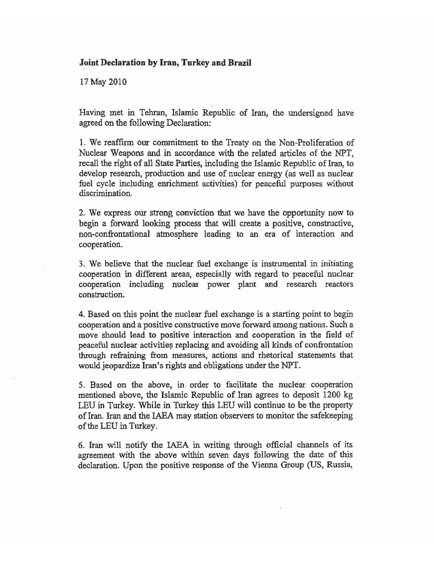## **Joint Declaration by Iran, Turkey and Brazil**

17 May 2010

Having met in Tehran, Islamic Republic of Iran, the undersigned have agreed on the following Declaration:

1. We reaffirm our commitment to the Treaty on the Non-Proliferation of Nuclear Weapons and in accordance with the related articles of the NPT, recall the right of all State Parties, including the Islamic Republic of Iran, to develop research, production and use of nuclear energy (as well as nuclear fuel cycle including enrichment activities) for peaceful purposes without discrimination.

2. We express our strong conviction that we have the opportunity now to begin a forward looking process that will create a positive, constructive, non-confrontational atmosphere leading to an era of interaction and cooperation.

3. We believe that the nuclear fuel exchange is instrumental in initiating cooperation in different areas, especially with regard to peaceful nuclear cooperation including nuclear power plant and research reactors construction.

4. Based on this point the nuclear fuel exchange is a starting point to begin cooperation and a positive constructive move forward among nations. Such a move should lead to positive interaction and cooperation in the field of peaceful nuclear activities replacing and avoiding all kinds of confrontation through refraining from measures, actions and rhetorical statements that would jeopardize Iran's rights and obligations under the NPT.

5. Based on the above, in order to facilitate the nuclear cooperation mentioned above, the Islamic Republic of Iran agrees to deposit 1200 kg LEU in Turkey. While in Turkey this LEU will continue to be the property of Iran. Iran and the IAEA may station observers to monitor the safekeeping of the LEU in Turkey.

6. Iran will notify the IAEA in writing through official channels of its agreement with the above within seven days following the date of this declaration. Upon the positive response of the Vienna Group (US, Russia,